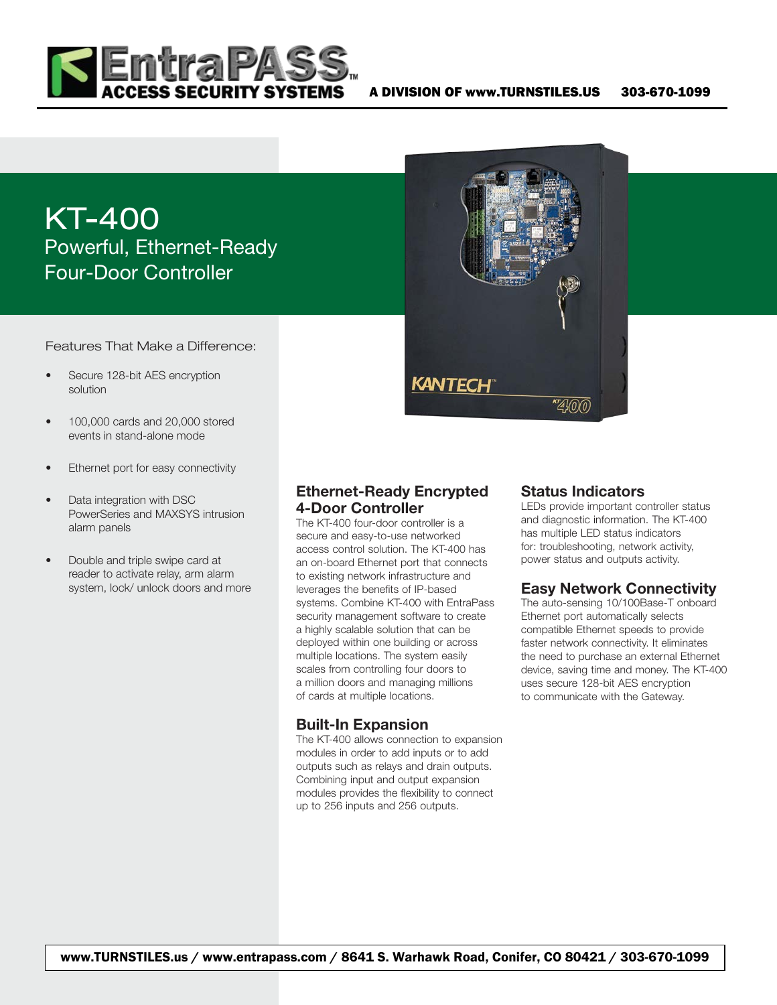

# KT-400 Powerful, Ethernet-Ready Four-Door Controller

Features That Make a Difference:

- Secure 128-bit AES encryption solution
- 100,000 cards and 20,000 stored events in stand-alone mode
- Ethernet port for easy connectivity
- Data integration with DSC PowerSeries and MAXSYS intrusion alarm panels
- Double and triple swipe card at reader to activate relay, arm alarm system, lock/ unlock doors and more

4-Door Controller The KT-400 four-door controller is a secure and easy-to-use networked access control solution. The KT-400 has an on-board Ethernet port that connects to existing network infrastructure and leverages the benefits of IP-based systems. Combine KT-400 with EntraPass security management software to create a highly scalable solution that can be deployed within one building or across multiple locations. The system easily scales from controlling four doors to a million doors and managing millions

Ethernet-Ready Encrypted

KANTECH

#### Built-In Expansion

of cards at multiple locations.

The KT-400 allows connection to expansion modules in order to add inputs or to add outputs such as relays and drain outputs. Combining input and output expansion modules provides the flexibility to connect up to 256 inputs and 256 outputs.



\*\*4100

LEDs provide important controller status and diagnostic information. The KT-400 has multiple LED status indicators for: troubleshooting, network activity, power status and outputs activity.

# Easy Network Connectivity

The auto-sensing 10/100Base-T onboard Ethernet port automatically selects compatible Ethernet speeds to provide faster network connectivity. It eliminates the need to purchase an external Ethernet device, saving time and money. The KT-400 uses secure 128-bit AES encryption to communicate with the Gateway.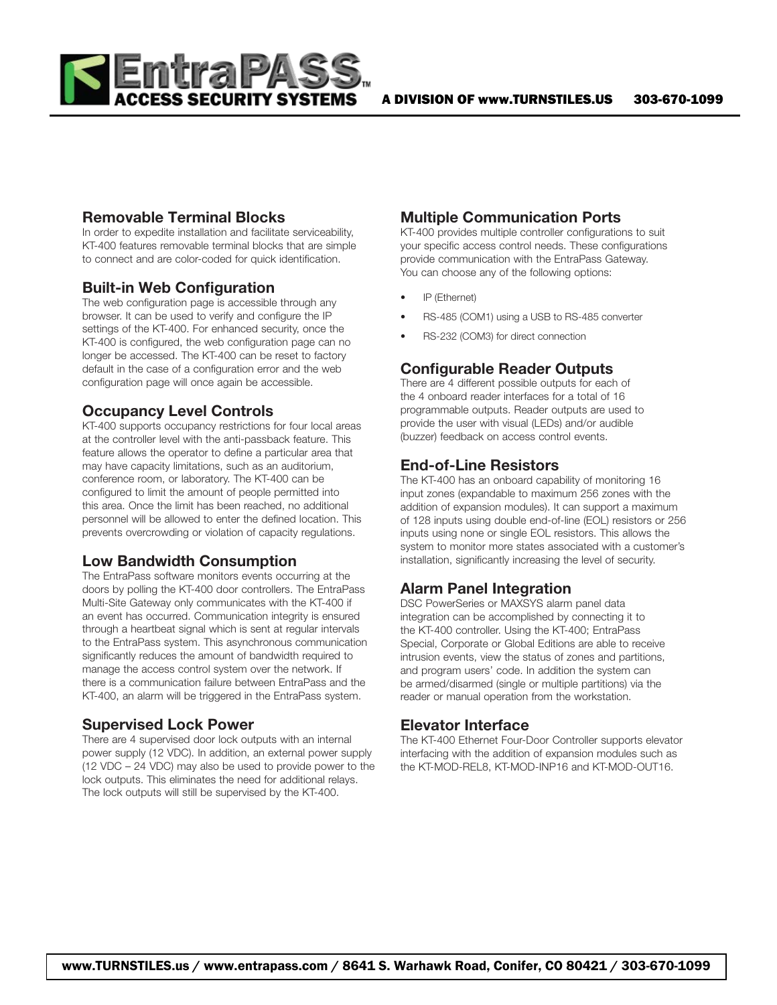

#### Removable Terminal Blocks

In order to expedite installation and facilitate serviceability, KT-400 features removable terminal blocks that are simple to connect and are color-coded for quick identification.

#### Built-in Web Configuration

The web configuration page is accessible through any browser. It can be used to verify and configure the IP settings of the KT-400. For enhanced security, once the KT-400 is configured, the web configuration page can no longer be accessed. The KT-400 can be reset to factory default in the case of a configuration error and the web configuration page will once again be accessible.

# Occupancy Level Controls

KT-400 supports occupancy restrictions for four local areas at the controller level with the anti-passback feature. This feature allows the operator to define a particular area that may have capacity limitations, such as an auditorium, conference room, or laboratory. The KT-400 can be configured to limit the amount of people permitted into this area. Once the limit has been reached, no additional personnel will be allowed to enter the defined location. This prevents overcrowding or violation of capacity regulations.

# Low Bandwidth Consumption

The EntraPass software monitors events occurring at the doors by polling the KT-400 door controllers. The EntraPass Multi-Site Gateway only communicates with the KT-400 if an event has occurred. Communication integrity is ensured through a heartbeat signal which is sent at regular intervals to the EntraPass system. This asynchronous communication significantly reduces the amount of bandwidth required to manage the access control system over the network. If there is a communication failure between EntraPass and the KT-400, an alarm will be triggered in the EntraPass system.

#### Supervised Lock Power

There are 4 supervised door lock outputs with an internal power supply (12 VDC). In addition, an external power supply (12 VDC – 24 VDC) may also be used to provide power to the lock outputs. This eliminates the need for additional relays. The lock outputs will still be supervised by the KT-400.

# Multiple Communication Ports

KT-400 provides multiple controller configurations to suit your specific access control needs. These configurations provide communication with the EntraPass Gateway. You can choose any of the following options:

- IP (Ethernet)
- RS-485 (COM1) using a USB to RS-485 converter
- RS-232 (COM3) for direct connection

# Configurable Reader Outputs

There are 4 different possible outputs for each of the 4 onboard reader interfaces for a total of 16 programmable outputs. Reader outputs are used to provide the user with visual (LEDs) and/or audible (buzzer) feedback on access control events.

#### End-of-Line Resistors

The KT-400 has an onboard capability of monitoring 16 input zones (expandable to maximum 256 zones with the addition of expansion modules). It can support a maximum of 128 inputs using double end-of-line (EOL) resistors or 256 inputs using none or single EOL resistors. This allows the system to monitor more states associated with a customer's installation, significantly increasing the level of security.

# Alarm Panel Integration

DSC PowerSeries or MAXSYS alarm panel data integration can be accomplished by connecting it to the KT-400 controller. Using the KT-400; EntraPass Special, Corporate or Global Editions are able to receive intrusion events, view the status of zones and partitions, and program users' code. In addition the system can be armed/disarmed (single or multiple partitions) via the reader or manual operation from the workstation.

#### Elevator Interface

The KT-400 Ethernet Four-Door Controller supports elevator interfacing with the addition of expansion modules such as the KT-MOD-REL8, KT-MOD-INP16 and KT-MOD-OUT16.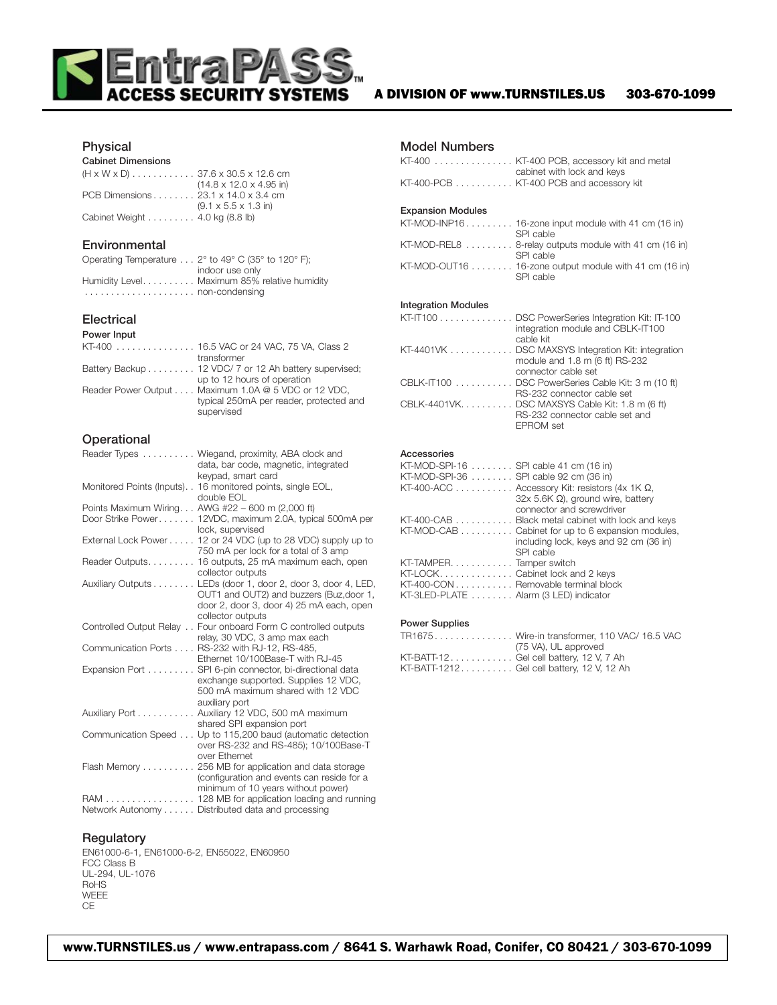

#### A DIVISION OF www.TURNSTILES.US 303-670-1099

#### Physical

#### Cabinet Dimensions

|                                     | $(14.8 \times 12.0 \times 4.95 \text{ in})$ |
|-------------------------------------|---------------------------------------------|
| PCB Dimensions 23.1 x 14.0 x 3.4 cm |                                             |
|                                     | $(9.1 \times 5.5 \times 1.3)$ in            |
| Cabinet Weight 4.0 kg (8.8 lb)      |                                             |

#### **Environmental**

| Operating Temperature 2° to 49° C (35° to 120° F); |
|----------------------------------------------------|
| indoor use only                                    |
| Humidity Level Maximum 85% relative humidity       |
|                                                    |

#### Electrical

#### Power Input

| KT-400 16.5 VAC or 24 VAC. 75 VA. Class 2             |
|-------------------------------------------------------|
| transformer                                           |
| Battery Backup 12 VDC/ 7 or 12 Ah battery supervised; |
| up to 12 hours of operation                           |
| Reader Power Output Maximum 1.0A @ 5 VDC or 12 VDC,   |
| typical 250mA per reader, protected and               |
| supervised                                            |

#### **Operational**

|                           | Reader Types Wiegand, proximity, ABA clock and                       |
|---------------------------|----------------------------------------------------------------------|
|                           | data, bar code, magnetic, integrated                                 |
|                           | keypad, smart card                                                   |
| Monitored Points (Inputs) | 16 monitored points, single EOL,                                     |
|                           | double EOL                                                           |
|                           | Points Maximum Wiring AWG #22 - 600 m (2,000 ft)                     |
|                           | Door Strike Power 12VDC, maximum 2.0A, typical 500mA per             |
|                           | lock, supervised                                                     |
|                           | External Lock Power $\dots$ 12 or 24 VDC (up to 28 VDC) supply up to |
|                           | 750 mA per lock for a total of 3 amp                                 |
|                           | Reader Outputs. 16 outputs, 25 mA maximum each, open                 |
|                           | collector outputs                                                    |
|                           | Auxiliary Outputs LEDs (door 1, door 2, door 3, door 4, LED,         |
|                           | OUT1 and OUT2) and buzzers (Buz, door 1,                             |
|                           | door 2, door 3, door 4) 25 mA each, open                             |
|                           | collector outputs                                                    |
|                           | Controlled Output Relay Four onboard Form C controlled outputs       |
|                           | relay, 30 VDC, 3 amp max each                                        |
|                           | Communication Ports RS-232 with RJ-12, RS-485,                       |
|                           | Ethernet 10/100Base-T with RJ-45                                     |
|                           | Expansion Port SPI 6-pin connector, bi-directional data              |
|                           | exchange supported. Supplies 12 VDC,                                 |
|                           | 500 mA maximum shared with 12 VDC                                    |
|                           | auxiliary port                                                       |
|                           | Auxiliary Port Auxiliary 12 VDC, 500 mA maximum                      |
|                           | shared SPI expansion port                                            |
|                           | Communication Speed Up to 115,200 baud (automatic detection          |
|                           | over RS-232 and RS-485); 10/100Base-T                                |
|                           | over Ethernet                                                        |
|                           | Flash Memory 256 MB for application and data storage                 |
|                           | (configuration and events can reside for a                           |
|                           | minimum of 10 years without power)                                   |
|                           | RAM 128 MB for application loading and running                       |
|                           | Network Autonomy Distributed data and processing                     |

#### **Regulatory**

EN61000-6-1, EN61000-6-2, EN55022, EN60950 FCC Class B UL-294, UL-1076 RoHS WEEE CE

#### Model Numbers

| פוסטווווטפו וישטווו                                                                                                     |
|-------------------------------------------------------------------------------------------------------------------------|
| KT-400 KT-400 PCB, accessory kit and metal<br>cabinet with lock and keys<br>KT-400-PCB  KT-400 PCB and accessory kit    |
|                                                                                                                         |
| <b>Expansion Modules</b>                                                                                                |
| KT-MOD-INP16 16-zone input module with 41 cm (16 in)<br>SPI cable                                                       |
| KT-MOD-REL8 8-relay outputs module with 41 cm (16 in)<br>SPI cable                                                      |
| KT-MOD-OUT16 16-zone output module with 41 cm (16 in)<br>SPI cable                                                      |
| <b>Integration Modules</b>                                                                                              |
| KT-IT100 DSC PowerSeries Integration Kit: IT-100<br>integration module and CBLK-IT100                                   |
| cable kit<br>KT-4401VK DSC MAXSYS Integration Kit: integration<br>module and 1.8 m (6 ft) RS-232<br>connector cable set |
| CBLK-IT100 DSC PowerSeries Cable Kit: 3 m (10 ft)<br>RS-232 connector cable set                                         |
| CBLK-4401VK. DSC MAXSYS Cable Kit: 1.8 m (6 ft)                                                                         |
| RS-232 connector cable set and<br>EPROM set                                                                             |
| Accessories                                                                                                             |
| KT-MOD-SPI-16 SPI cable 41 cm (16 in)<br>KT-MOD-SPI-36 SPI cable 92 cm (36 in)                                          |
| KT-400-ACC Accessory Kit: resistors (4x 1K $\Omega$ ,                                                                   |
| 32x 5.6K $\Omega$ ), ground wire, battery<br>connector and screwdriver                                                  |
| KT-400-CAB Black metal cabinet with lock and keys<br>KT-MOD-CAB Cabinet for up to 6 expansion modules,                  |
| including lock, keys and 92 cm (36 in)<br>SPI cable                                                                     |
| KT-TAMPER. Tamper switch<br>KT-LOCK Cabinet lock and 2 keys                                                             |
| KT-400-CON Removable terminal block                                                                                     |
| KT-3LED-PLATE  Alarm (3 LED) indicator                                                                                  |
| <b>Power Supplies</b>                                                                                                   |
| TR1675Wire-in transformer, 110 VAC/ 16.5 VAC<br>(75 VA), UL approved                                                    |
| KT-BATT-12. Gel cell battery, 12 V, 7 Ah                                                                                |

KT-BATT-1212......... Gel cell battery, 12 V, 12 Ah